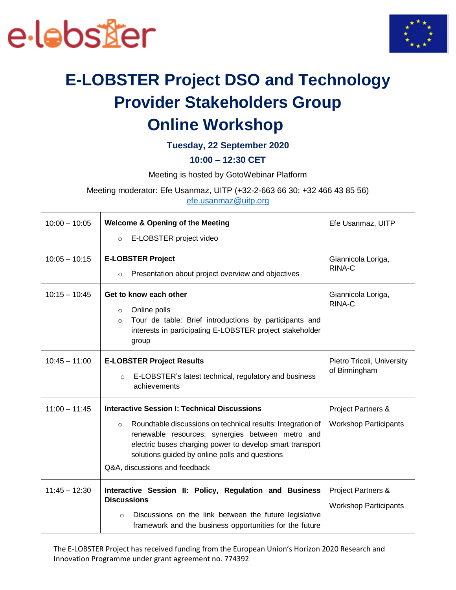



## **E-LOBSTER Project DSO and Technology Provider Stakeholders Group Online Workshop**

#### **Tuesday, 22 September 2020**

#### **10:00 – 12:30 CET**

Meeting is hosted by GotoWebinar Platform

Meeting moderator: Efe Usanmaz, UITP (+32-2-663 66 30; +32 466 43 85 56)

[efe.usanmaz@uitp.org](mailto:efe.usanmaz@uitp.org)

| $10:00 - 10:05$ | <b>Welcome &amp; Opening of the Meeting</b>                                                                                                                                                                                                                               | Efe Usanmaz, UITP                                             |
|-----------------|---------------------------------------------------------------------------------------------------------------------------------------------------------------------------------------------------------------------------------------------------------------------------|---------------------------------------------------------------|
|                 | E-LOBSTER project video<br>$\circ$                                                                                                                                                                                                                                        |                                                               |
| $10:05 - 10:15$ | <b>E-LOBSTER Project</b>                                                                                                                                                                                                                                                  | Giannicola Loriga,<br>RINA-C                                  |
|                 | Presentation about project overview and objectives<br>$\circ$                                                                                                                                                                                                             |                                                               |
| $10:15 - 10:45$ | Get to know each other<br>Online polls<br>$\circ$<br>Tour de table: Brief introductions by participants and<br>$\circ$<br>interests in participating E-LOBSTER project stakeholder<br>group                                                                               | Giannicola Loriga,<br>RINA-C                                  |
| $10:45 - 11:00$ | <b>E-LOBSTER Project Results</b><br>E-LOBSTER's latest technical, regulatory and business<br>$\circ$<br>achievements                                                                                                                                                      | Pietro Tricoli, University<br>of Birmingham                   |
| $11:00 - 11:45$ | <b>Interactive Session I: Technical Discussions</b>                                                                                                                                                                                                                       | <b>Project Partners &amp;</b>                                 |
|                 | Roundtable discussions on technical results: Integration of<br>$\circ$<br>renewable resources; synergies between metro and<br>electric buses charging power to develop smart transport<br>solutions guided by online polls and questions<br>Q&A, discussions and feedback | <b>Workshop Participants</b>                                  |
| $11:45 - 12:30$ | Interactive Session II: Policy, Regulation and Business<br><b>Discussions</b><br>Discussions on the link between the future legislative<br>$\circ$<br>framework and the business opportunities for the future                                                             | <b>Project Partners &amp;</b><br><b>Workshop Participants</b> |

The E-LOBSTER Project has received funding from the European Union's Horizon 2020 Research and Innovation Programme under grant agreement no. 774392